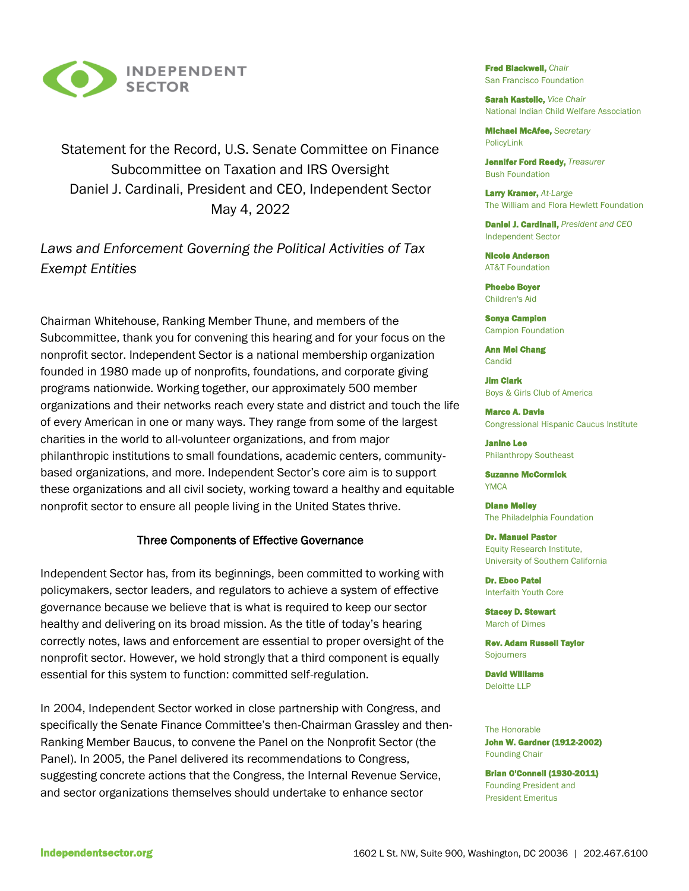

Statement for the Record, U.S. Senate Committee on Finance Subcommittee on Taxation and IRS Oversight Daniel J. Cardinali, President and CEO, Independent Sector May 4, 2022

# *Laws and Enforcement Governing the Political Activities of Tax Exempt Entities*

Chairman Whitehouse, Ranking Member Thune, and members of the Subcommittee, thank you for convening this hearing and for your focus on the nonprofit sector. Independent Sector is a national membership organization founded in 1980 made up of nonprofits, foundations, and corporate giving programs nationwide. Working together, our approximately 500 member organizations and their networks reach every state and district and touch the life of every American in one or many ways. They range from some of the largest charities in the world to all-volunteer organizations, and from major philanthropic institutions to small foundations, academic centers, communitybased organizations, and more. Independent Sector's core aim is to support these organizations and all civil society, working toward a healthy and equitable nonprofit sector to ensure all people living in the United States thrive.

### Three Components of Effective Governance

Independent Sector has, from its beginnings, been committed to working with policymakers, sector leaders, and regulators to achieve a system of effective governance because we believe that is what is required to keep our sector healthy and delivering on its broad mission. As the title of today's hearing correctly notes, laws and enforcement are essential to proper oversight of the nonprofit sector. However, we hold strongly that a third component is equally essential for this system to function: committed self-regulation.

In 2004, Independent Sector worked in close partnership with Congress, and specifically the Senate Finance Committee's then-Chairman Grassley and then-Ranking Member Baucus, to convene the Panel on the Nonprofit Sector (the Panel). In 2005, the Panel delivered its recommendations to Congress, suggesting concrete actions that the Congress, the Internal Revenue Service, and sector organizations themselves should undertake to enhance sector

Fred Blackwell, *Chair* San Francisco Foundation

Sarah Kastelic, *Vice Chair* National Indian Child Welfare Association

Michael McAfee, *Secretary* PolicyLink

Jennifer Ford Reedy, *Treasurer*  Bush Foundation

Larry Kramer, *At-Large* The William and Flora Hewlett Foundation

Daniel J. Cardinali, *President and CEO* Independent Sector

Nicole Anderson AT&T Foundation

Phoebe Boyer Children's Aid

Sonya Campion Campion Foundation

Ann Mei Chang **Candid** 

Jim Clark Boys & Girls Club of America

Marco A. Davis Congressional Hispanic Caucus Institute

Janine Lee Philanthropy Southeast

Suzanne McCormick YMCA

Diane Melley The Philadelphia Foundation

Dr. Manuel Pastor Equity Research Institute, University of Southern California

Dr. Eboo Patel Interfaith Youth Core

Stacey D. Stewart March of Dimes

Rev. Adam Russell Taylor Sojourners

David Williams Deloitte LLP

The Honorable John W. Gardner (1912-2002) Founding Chair

Brian O'Connell (1930-2011) Founding President and President Emeritus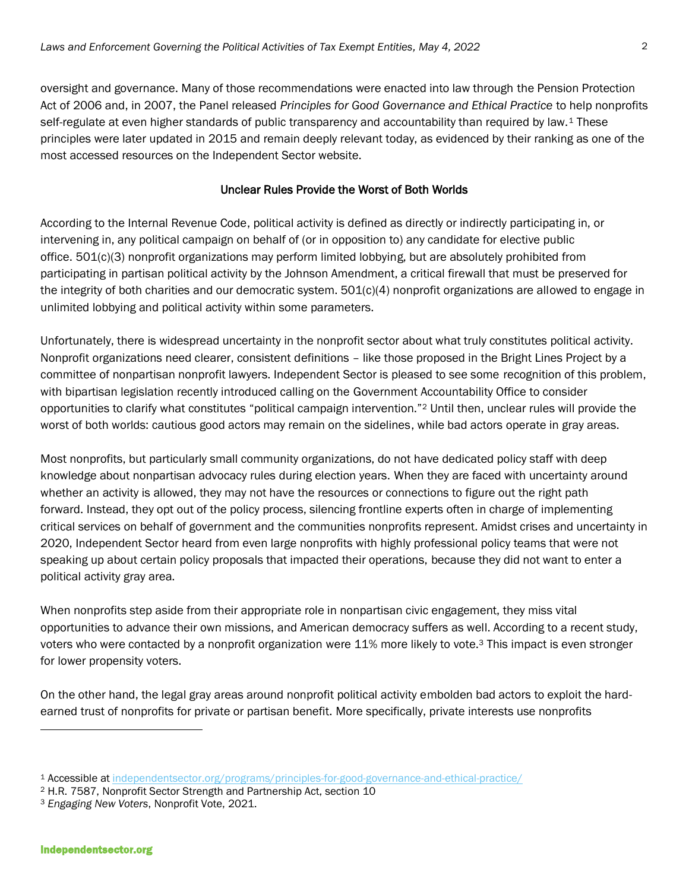oversight and governance. Many of those recommendations were enacted into law through the Pension Protection Act of 2006 and, in 2007, the Panel released *Principles for Good Governance and Ethical Practice* to help nonprofits self-regulate at even higher standards of public transparency and accountability than required by law.<sup>1</sup> These principles were later updated in 2015 and remain deeply relevant today, as evidenced by their ranking as one of the most accessed resources on the Independent Sector website.

## Unclear Rules Provide the Worst of Both Worlds

According to the Internal Revenue Code, political activity is defined as directly or indirectly participating in, or intervening in, any political campaign on behalf of (or in opposition to) any candidate for elective public office. 501(c)(3) nonprofit organizations may perform limited lobbying, but are absolutely prohibited from participating in partisan political activity by the Johnson Amendment, a critical firewall that must be preserved for the integrity of both charities and our democratic system. 501(c)(4) nonprofit organizations are allowed to engage in unlimited lobbying and political activity within some parameters.

Unfortunately, there is widespread uncertainty in the nonprofit sector about what truly constitutes political activity. Nonprofit organizations need clearer, consistent definitions – like those proposed in the Bright Lines Project by a committee of nonpartisan nonprofit lawyers. Independent Sector is pleased to see some recognition of this problem, with bipartisan legislation recently introduced calling on the Government Accountability Office to consider opportunities to clarify what constitutes "political campaign intervention."<sup>2</sup> Until then, unclear rules will provide the worst of both worlds: cautious good actors may remain on the sidelines, while bad actors operate in gray areas.

Most nonprofits, but particularly small community organizations, do not have dedicated policy staff with deep knowledge about nonpartisan advocacy rules during election years. When they are faced with uncertainty around whether an activity is allowed, they may not have the resources or connections to figure out the right path forward. Instead, they opt out of the policy process, silencing frontline experts often in charge of implementing critical services on behalf of government and the communities nonprofits represent. Amidst crises and uncertainty in 2020, Independent Sector heard from even large nonprofits with highly professional policy teams that were not speaking up about certain policy proposals that impacted their operations, because they did not want to enter a political activity gray area.

When nonprofits step aside from their appropriate role in nonpartisan civic engagement, they miss vital opportunities to advance their own missions, and American democracy suffers as well. According to a recent study, voters who were contacted by a nonprofit organization were 11% more likely to vote.<sup>3</sup> This impact is even stronger for lower propensity voters.

On the other hand, the legal gray areas around nonprofit political activity embolden bad actors to exploit the hardearned trust of nonprofits for private or partisan benefit. More specifically, private interests use nonprofits

<sup>1</sup> Accessible at [independentsector.org/programs/principles-for-good-governance-and-ethical-practice/](https://independentsector.org/programs/principles-for-good-governance-and-ethical-practice/)

<sup>2</sup> H.R. 7587, Nonprofit Sector Strength and Partnership Act, section 10

<sup>3</sup> *Engaging New Voters*, Nonprofit Vote, 2021.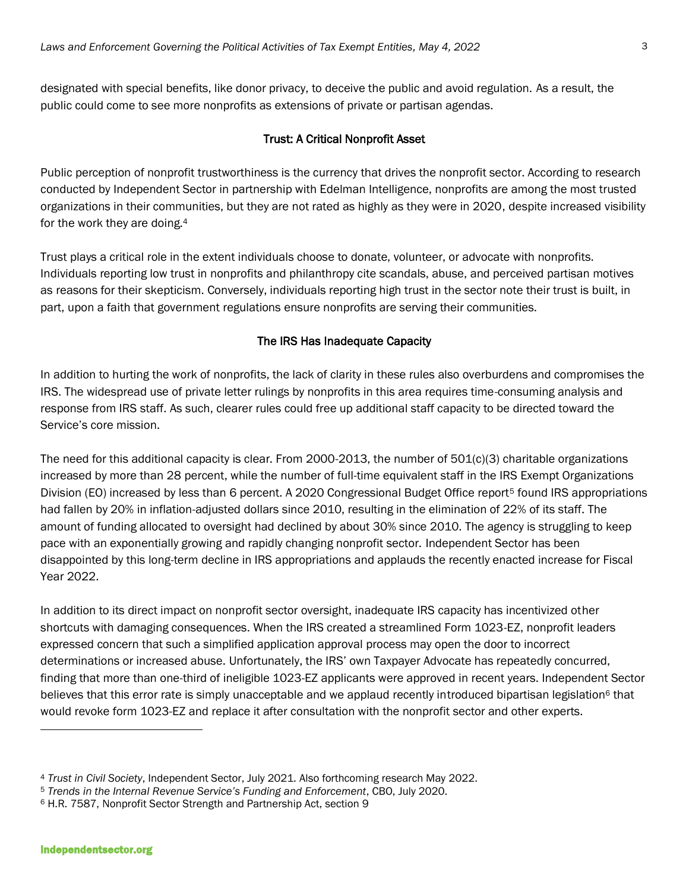designated with special benefits, like donor privacy, to deceive the public and avoid regulation. As a result, the public could come to see more nonprofits as extensions of private or partisan agendas.

### Trust: A Critical Nonprofit Asset

Public perception of nonprofit trustworthiness is the currency that drives the nonprofit sector. According to research conducted by Independent Sector in partnership with Edelman Intelligence, nonprofits are among the most trusted organizations in their communities, but they are not rated as highly as they were in 2020, despite increased visibility for the work they are doing.<sup>4</sup>

Trust plays a critical role in the extent individuals choose to donate, volunteer, or advocate with nonprofits. Individuals reporting low trust in nonprofits and philanthropy cite scandals, abuse, and perceived partisan motives as reasons for their skepticism. Conversely, individuals reporting high trust in the sector note their trust is built, in part, upon a faith that government regulations ensure nonprofits are serving their communities.

#### The IRS Has Inadequate Capacity

In addition to hurting the work of nonprofits, the lack of clarity in these rules also overburdens and compromises the IRS. The widespread use of private letter rulings by nonprofits in this area requires time-consuming analysis and response from IRS staff. As such, clearer rules could free up additional staff capacity to be directed toward the Service's core mission.

The need for this additional capacity is clear. From 2000-2013, the number of  $501(c)(3)$  charitable organizations increased by more than 28 percent, while the number of full-time equivalent staff in the IRS Exempt Organizations Division (EO) increased by less than 6 percent. A 2020 Congressional Budget Office report<sup>5</sup> found IRS appropriations had fallen by 20% in inflation-adjusted dollars since 2010, resulting in the elimination of 22% of its staff. The amount of funding allocated to oversight had declined by about 30% since 2010. The agency is struggling to keep pace with an exponentially growing and rapidly changing nonprofit sector. Independent Sector has been disappointed by this long-term decline in IRS appropriations and applauds the recently enacted increase for Fiscal Year 2022.

In addition to its direct impact on nonprofit sector oversight, inadequate IRS capacity has incentivized other shortcuts with damaging consequences. When the IRS created a streamlined Form 1023-EZ, nonprofit leaders expressed concern that such a simplified application approval process may open the door to incorrect determinations or increased abuse. Unfortunately, the IRS' own Taxpayer Advocate has repeatedly concurred, finding that more than one-third of ineligible 1023-EZ applicants were approved in recent years. Independent Sector believes that this error rate is simply unacceptable and we applaud recently introduced bipartisan legislation<sup>6</sup> that would revoke form 1023-EZ and replace it after consultation with the nonprofit sector and other experts.

<sup>4</sup> *Trust in Civil Society*, Independent Sector, July 2021. Also forthcoming research May 2022.

<sup>5</sup> *Trends in the Internal Revenue Service's Funding and Enforcement*, CBO, July 2020.

<sup>6</sup> H.R. 7587, Nonprofit Sector Strength and Partnership Act, section 9